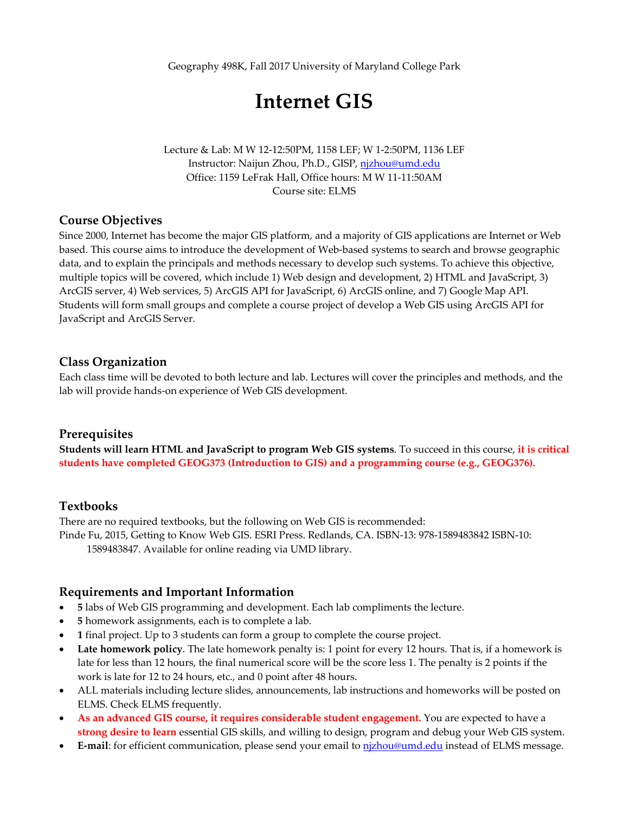Geography 498K, Fall 2017 University of Maryland College Park

# **Internet GIS**

Lecture & Lab: M W 12‐12:50PM, 1158 LEF; W 1‐2:50PM, 1136 LEF Instructor: Naijun Zhou, Ph.D., GISP, njzhou@umd.edu Office: 1159 LeFrak Hall, Office hours: M W 11‐11:50AM Course site: ELMS

#### **Course Objectives**

Since 2000, Internet has become the major GIS platform, and a majority of GIS applications are Internet or Web based. This course aims to introduce the development of Web‐based systems to search and browse geographic data, and to explain the principals and methods necessary to develop such systems. To achieve this objective, multiple topics will be covered, which include 1) Web design and development, 2) HTML and JavaScript, 3) ArcGIS server, 4) Web services, 5) ArcGIS API for JavaScript, 6) ArcGIS online, and 7) Google Map API. Students will form small groups and complete a course project of develop a Web GIS using ArcGIS API for JavaScript and ArcGIS Server.

#### **Class Organization**

Each class time will be devoted to both lecture and lab. Lectures will cover the principles and methods, and the lab will provide hands‐on experience of Web GIS development.

#### **Prerequisites**

**Students will learn HTML and JavaScript to program Web GIS systems**. To succeed in this course, **it is critical students have completed GEOG373 (Introduction to GIS) and a programming course (e.g., GEOG376).**

#### **Textbooks**

There are no required textbooks, but the following on Web GIS is recommended: Pinde Fu, 2015, Getting to Know Web GIS. ESRI Press. Redlands, CA. ISBN‐13: 978‐1589483842 ISBN‐10: 1589483847. Available for online reading via UMD library.

#### **Requirements and Important Information**

- **5** labs of Web GIS programming and development. Each lab compliments the lecture.
- **5** homework assignments, each is to complete a lab.
- **1** final project. Up to 3 students can form a group to complete the course project.
- **Late homework policy**. The late homework penalty is: 1 point for every 12 hours. That is, if a homework is late for less than 12 hours, the final numerical score will be the score less 1. The penalty is 2 points if the work is late for 12 to 24 hours, etc., and 0 point after 48 hours.
- ALL materials including lecture slides, announcements, lab instructions and homeworks will be posted on ELMS. Check ELMS frequently.
- **As an advanced GIS course, it requires considerable student engagement.** You are expected to have a **strong desire to learn** essential GIS skills, and willing to design, program and debug your Web GIS system.
- **E‐mail**: for efficient communication, please send your email to njzhou@umd.edu instead of ELMS message.